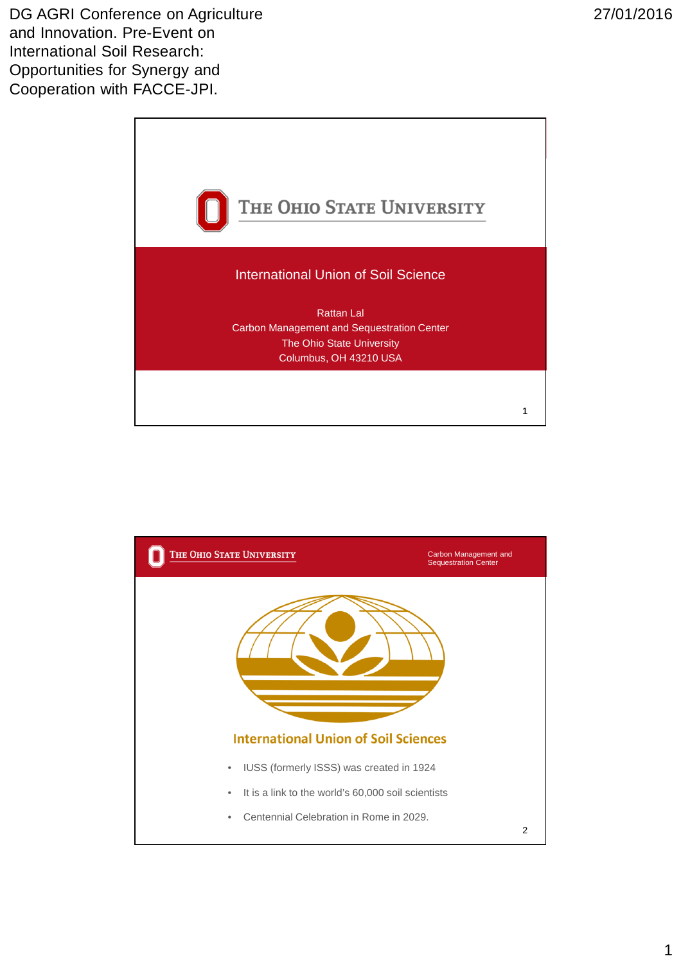DG AGRI Conference on Agriculture and Innovation. Pre-Event on International Soil Research: Opportunities for Synergy and Cooperation with FACCE-JPI.



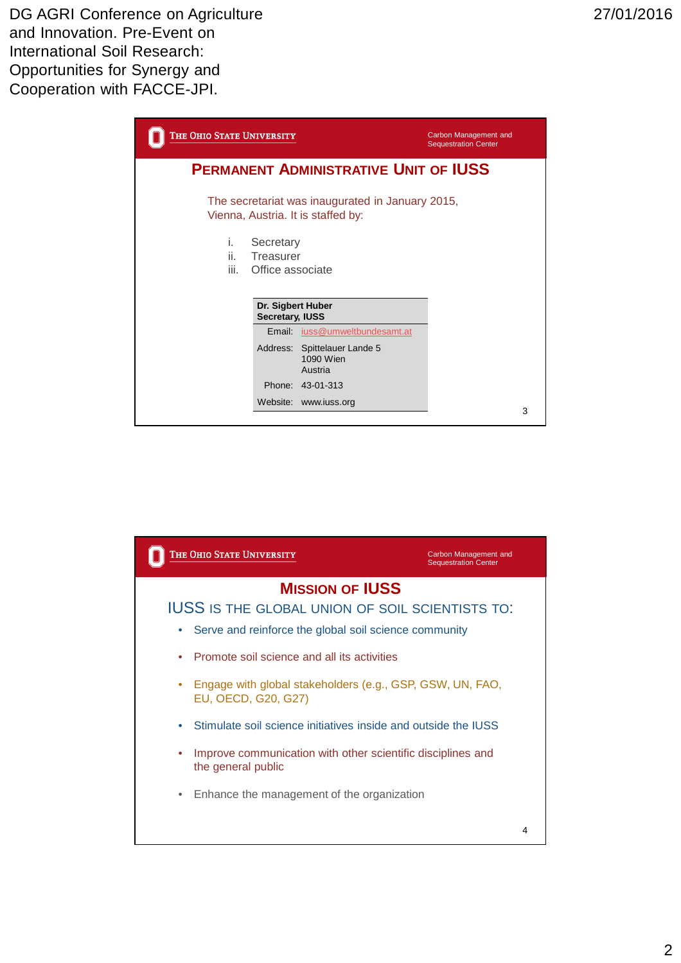| THE OHIO STATE UNIVERSITY                                                              | Carbon Management and<br><b>Sequestration Center</b> |
|----------------------------------------------------------------------------------------|------------------------------------------------------|
| <b>PERMANENT ADMINISTRATIVE UNIT OF IUSS</b>                                           |                                                      |
| The secretariat was inaugurated in January 2015,<br>Vienna, Austria. It is staffed by: |                                                      |
| i.<br>Secretary<br>ii.<br><b>Treasurer</b><br>iii.<br>Office associate                 |                                                      |
| Dr. Sigbert Huber<br>Secretary, IUSS                                                   |                                                      |
| Email iuss@umweltbundesamt.at                                                          |                                                      |
| Address: Spittelauer Lande 5<br>1090 Wien<br>Austria                                   |                                                      |
| Phone: 43-01-313                                                                       |                                                      |
| Website: www.iuss.org                                                                  | 3                                                    |

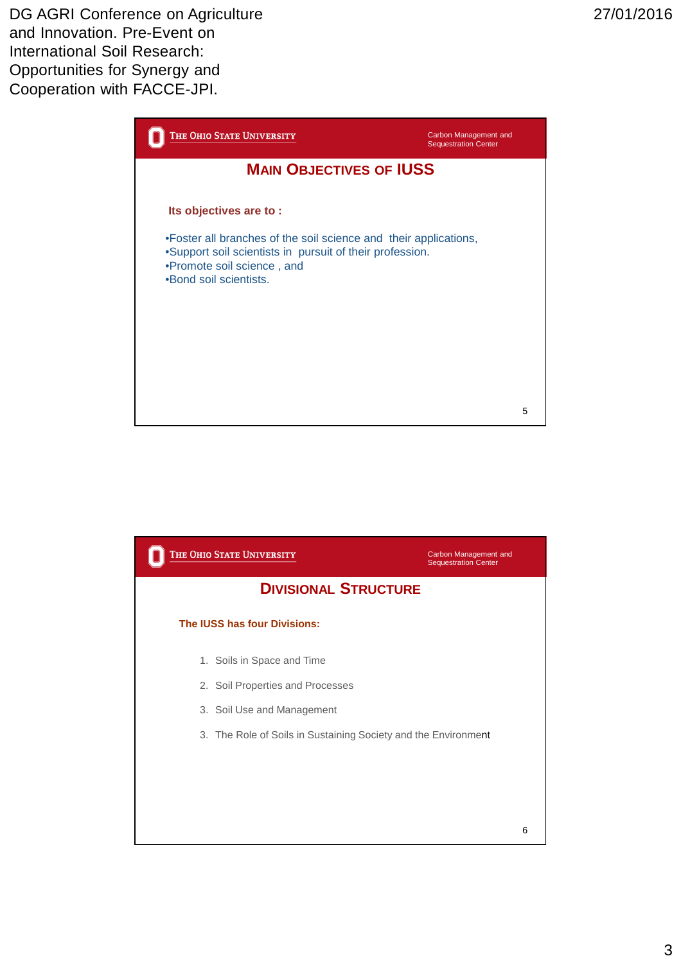

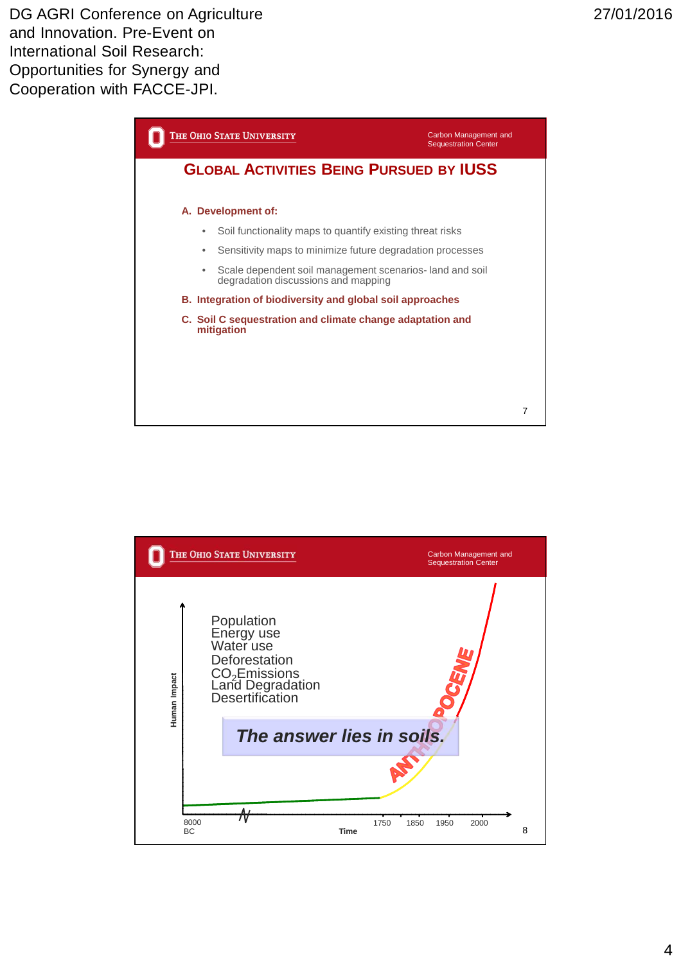